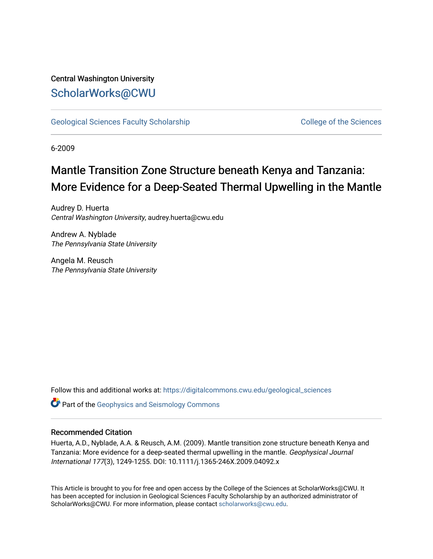## Central Washington University [ScholarWorks@CWU](https://digitalcommons.cwu.edu/)

[Geological Sciences Faculty Scholarship](https://digitalcommons.cwu.edu/geological_sciences) College of the Sciences

6-2009

# Mantle Transition Zone Structure beneath Kenya and Tanzania: More Evidence for a Deep-Seated Thermal Upwelling in the Mantle

Audrey D. Huerta Central Washington University, audrey.huerta@cwu.edu

Andrew A. Nyblade The Pennsylvania State University

Angela M. Reusch The Pennsylvania State University

Follow this and additional works at: [https://digitalcommons.cwu.edu/geological\\_sciences](https://digitalcommons.cwu.edu/geological_sciences?utm_source=digitalcommons.cwu.edu%2Fgeological_sciences%2F21&utm_medium=PDF&utm_campaign=PDFCoverPages) 

**C** Part of the Geophysics and Seismology Commons

### Recommended Citation

Huerta, A.D., Nyblade, A.A. & Reusch, A.M. (2009). Mantle transition zone structure beneath Kenya and Tanzania: More evidence for a deep-seated thermal upwelling in the mantle. Geophysical Journal International 177(3), 1249-1255. DOI: 10.1111/j.1365-246X.2009.04092.x

This Article is brought to you for free and open access by the College of the Sciences at ScholarWorks@CWU. It has been accepted for inclusion in Geological Sciences Faculty Scholarship by an authorized administrator of ScholarWorks@CWU. For more information, please contact [scholarworks@cwu.edu](mailto:scholarworks@cwu.edu).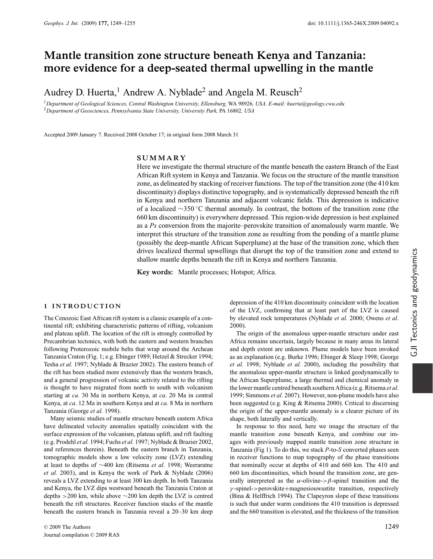## **Mantle transition zone structure beneath Kenya and Tanzania: more evidence for a deep-seated thermal upwelling in the mantle**

Audrey D. Huerta,<sup>1</sup> Andrew A. Nyblade<sup>2</sup> and Angela M. Reusch<sup>2</sup>

<sup>1</sup>*Department of Geological Sciences, Central Washington University, Ellensburg,* WA 98926*, USA. E-mail: huerta@geology.cwu.edu* <sup>2</sup>*Department of Geosciences, Pennsylvania State University, University Park,* PA 16802*, USA*

Accepted 2009 January 7. Received 2008 October 17; in original form 2008 March 31

#### **SUMMARY**

Here we investigate the thermal structure of the mantle beneath the eastern Branch of the East African Rift system in Kenya and Tanzania. We focus on the structure of the mantle transition zone, as delineated by stacking of receiver functions. The top of the transition zone (the 410 km discontinuity) displays distinctive topography, and is systematically depressed beneath the rift in Kenya and northern Tanzania and adjacent volcanic fields. This depression is indicative of a localized ∼350 ◦C thermal anomaly. In contrast, the bottom of the transition zone (the 660 km discontinuity) is everywhere depressed. This region-wide depression is best explained as a *Ps* conversion from the majorite–perovskite transition of anomalously warm mantle. We interpret this structure of the transition zone as resulting from the ponding of a mantle plume (possibly the deep-mantle African Superplume) at the base of the transition zone, which then drives localized thermal upwellings that disrupt the top of the transition zone and extend to shallow mantle depths beneath the rift in Kenya and northern Tanzania.

**Key words:** Mantle processes; Hotspot; Africa.

#### **1 INTRODUCTION**

The Cenozoic East African rift system is a classic example of a continental rift; exhibiting characteristic patterns of rifting, volcanism and plateau uplift. The location of the rift is strongly controlled by Precambrian tectonics, with both the eastern and western branches following Proterozoic mobile belts that wrap around the Archean Tanzania Craton (Fig. 1; e.g. Ebinger 1989; Hetzel & Strecker 1994; Tesha *et al.* 1997; Nyblade & Brazier 2002). The eastern branch of the rift has been studied more extensively than the western branch, and a general progression of volcanic activity related to the rifting is thought to have migrated from north to south with volcanism starting at *ca.* 30 Ma in northern Kenya, at *ca*. 20 Ma in central Kenya, at *ca*. 12 Ma in southern Kenya and at *ca*. 8 Ma in northern Tanzania (George *et al.* 1998).

Many seismic studies of mantle structure beneath eastern Africa have delineated velocity anomalies spatially coincident with the surface expression of the volcanism, plateau uplift, and rift faulting (e.g. Prodehl *et al.* 1994; Fuchs *et al.* 1997; Nyblade & Brazier 2002, and references therein). Beneath the eastern branch in Tanzania, tomographic models show a low velocity zone (LVZ) extending at least to depths of ∼400 km (Ritsema *et al.* 1998; Weeraratne *et al.* 2003), and in Kenya the work of Park & Nyblade (2006) reveals a LVZ extending to at least 300 km depth. In both Tanzania and Kenya, the LVZ dips westward beneath the Tanzania Craton at depths >200 km, while above ∼200 km depth the LVZ is centred beneath the rift structures. Receiver function stacks of the mantle beneath the eastern branch in Tanzania reveal a 20–30 km deep

<sup>C</sup> 2009 The Authors 1249 Journal compilation  $©$  2009 RAS

depression of the 410 km discontinuity coincident with the location of the LVZ, confirming that at least part of the LVZ is caused by elevated rock temperatures (Nyblade *et al.* 2000; Owens *et al.* 2000).

The origin of the anomalous upper-mantle structure under east Africa remains uncertain, largely because in many areas its lateral and depth extent are unknown. Plume models have been invoked as an explanation (e.g. Burke 1996; Ebinger & Sleep 1998; George *et al.* 1998; Nyblade *et al.* 2000), including the possibility that the anomalous upper-mantle structure is linked geodynamically to the African Superplume, a large thermal and chemical anomaly in the lower mantle centred beneath southern Africa (e.g. Ritsema *et al.* 1999; Simmons *et al.* 2007). However, non-plume models have also been suggested (e.g. King & Ritsema 2000). Critical to discerning the origin of the upper-mantle anomaly is a clearer picture of its shape, both laterally and vertically.

In response to this need, here we image the structure of the mantle transition zone beneath Kenya, and combine our images with previously mapped mantle transition zone structure in Tanzania (Fig 1). To do this, we stack *P*-to-*S* converted phases seen in receiver functions to map topography of the phase transitions that nominally occur at depths of 410 and 660 km. The 410 and 660 km discontinuities, which bound the transition zone, are generally interpreted as the  $\alpha$ -olivine->β-spinel transition and the  $\nu$ -spinel->perovskite+magnesiouwustite transition, respectively (Bina & Helffrich 1994). The Clapeyron slope of these transitions is such that under warm conditions the 410 transition is depressed and the 660 transition is elevated, and the thickness of the transition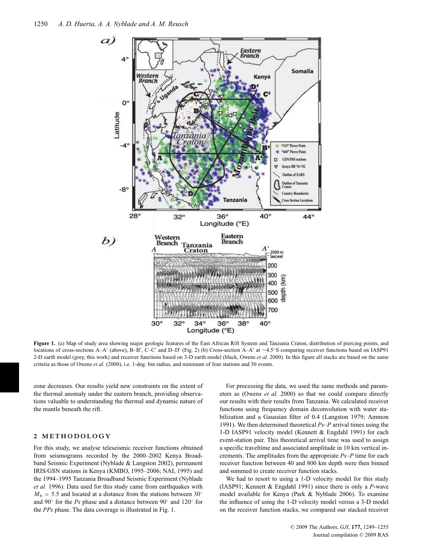

**Figure 1.** (a) Map of study area showing major geologic features of the East African Rift System and Tanzania Craton, distribution of piercing points, and locations of cross-sections A–A' (above), B–B', C–C' and D–D' (Fig. 2) (b) Cross-section A–A' at ∼4.5°S comparing receiver functions based on IASP91 2-D earth model (grey, this work) and receiver functions based on 3-D earth model (black, Owens *et al.* 2000). In this figure all stacks are based on the same criteria as those of Owens *et al.* (2000), i.e. 1-deg. bin radius, and minimum of four stations and 30 events.

zone decreases. Our results yield new constraints on the extent of the thermal anomaly under the eastern branch, providing observations valuable to understanding the thermal and dynamic nature of the mantle beneath the rift.

#### **2 METHODOLOGY**

For this study, we analyse teleseismic receiver functions obtained from seismograms recorded by the 2000–2002 Kenya Broadband Seismic Experiment (Nyblade & Langston 2002), permanent IRIS/GSN stations in Kenya (KMBO, 1995–2006; NAI, 1995) and the 1994–1995 Tanzania Broadband Seismic Experiment (Nyblade *et al.* 1996). Data used for this study came from earthquakes with  $M<sub>b</sub>$  > 5.5 and located at a distance from the stations between 30° and 90◦ for the *Ps* phase and a distance between 90◦ and 120◦ for the *PPs* phase. The data coverage is illustrated in Fig. 1.

For processing the data, we used the same methods and parameters as (Owens *et al.* 2000) so that we could compare directly our results with their results from Tanzania. We calculated receiver functions using frequency domain deconvolution with water stabilization and a Gaussian filter of 0.4 (Langston 1979; Ammon 1991). We then determined theoretical *Ps*–*P* arrival times using the 1-D IASP91 velocity model (Kennett & Engdahl 1991) for each event-station pair. This theoretical arrival time was used to assign a specific traveltime and associated amplitude in 10 km vertical increments. The amplitudes from the appropriate *Ps*–*P* time for each receiver function between 40 and 800 km depth were then binned and summed to create receiver function stacks.

We had to resort to using a 1-D velocity model for this study (IASP91; Kennett & Engdahl 1991) since there is only a *P*-wave model available for Kenya (Park & Nyblade 2006). To examine the influence of using the 1-D velocity model versus a 3-D model on the receiver function stacks, we compared our stacked receiver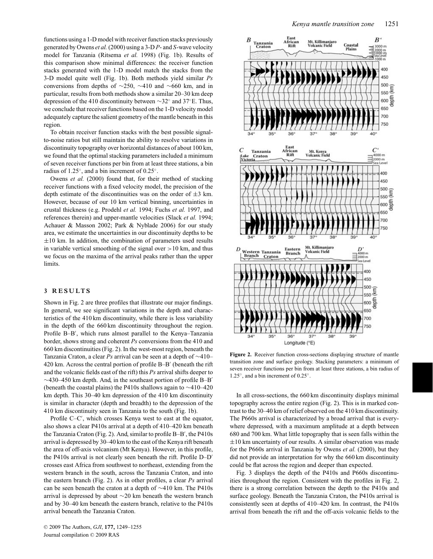functions using a 1-D model with receiver function stacks previously generated by Owens *et al.*(2000) using a 3-D *P*- and *S*-wave velocity model for Tanzania (Ritsema *et al.* 1998) (Fig. 1b). Results of this comparison show minimal differences: the receiver function stacks generated with the 1-D model match the stacks from the 3-D model quite well (Fig. 1b). Both methods yield similar *Ps* conversions from depths of ∼250, ∼410 and ∼660 km, and in particular, results from both methods show a similar 20–30 km deep depression of the 410 discontinuity between ∼32◦ and 37◦E. Thus, we conclude that receiver functions based on the 1-D velocity model adequately capture the salient geometry of the mantle beneath in this region.

To obtain receiver function stacks with the best possible signalto-noise ratios but still maintain the ability to resolve variations in discontinuity topography over horizontal distances of about 100 km, we found that the optimal stacking parameters included a minimum of seven receiver functions per bin from at least three stations, a bin radius of 1.25◦, and a bin increment of 0.25◦.

Owens *et al.* (2000) found that, for their method of stacking receiver functions with a fixed velocity model, the precision of the depth estimate of the discontinuities was on the order of  $\pm 3$  km. However, because of our 10 km vertical binning, uncertainties in crustal thickness (e.g. Prodehl *et al.* 1994; Fuchs *et al.* 1997, and references therein) and upper-mantle velocities (Slack *et al.* 1994; Achauer & Masson 2002; Park & Nyblade 2006) for our study area, we estimate the uncertainties in our discontinuity depths to be  $\pm 10$  km. In addition, the combination of parameters used results in variable vertical smoothing of the signal over  $>10$  km, and thus we focus on the maxima of the arrival peaks rather than the upper limits.

#### **3 RESULTS**

Shown in Fig. 2 are three profiles that illustrate our major findings. In general, we see significant variations in the depth and characteristics of the 410 km discontinuity, while there is less variability in the depth of the 660 km discontinuity throughout the region. Profile B–B , which runs almost parallel to the Kenya–Tanzania border, shows strong and coherent *Ps* conversions from the 410 and 660 km discontinuities (Fig. 2). In the west-most region, beneath the Tanzania Craton, a clear *Ps* arrival can be seen at a depth of ∼410– 420 km. Across the central portion of profile  $B - B'$  (beneath the rift and the volcanic fields east of the rift) this *Ps* arrival shifts deeper to  $\sim$ 430–450 km depth. And, in the southeast portion of profile B–B (beneath the coastal plains) the P410s shallows again to ∼410–420 km depth. This 30–40 km depression of the 410 km discontinuity is similar in character (depth and breadth) to the depression of the 410 km discontinuity seen in Tanzania to the south (Fig. 1b).

Profile C–C , which crosses Kenya west to east at the equator, also shows a clear P410s arrival at a depth of 410–420 km beneath the Tanzania Craton (Fig. 2). And, similar to profile B–B , the P410s arrival is depressed by 30–40 km to the east of the Kenya rift beneath the area of off-axis volcanism (Mt Kenya). However, in this profile, the P410s arrival is not clearly seen beneath the rift. Profile D–D crosses east Africa from southwest to northeast, extending from the western branch in the south, across the Tanzania Craton, and into the eastern branch (Fig. 2). As in other profiles, a clear *Ps* arrival can be seen beneath the craton at a depth of ∼410 km. The P410s arrival is depressed by about ∼20 km beneath the western branch and by 30–40 km beneath the eastern branch, relative to the P410s arrival beneath the Tanzania Craton.



Figure 2. Receiver function cross-sections displaying structure of mantle transition zone and surface geology. Stacking parameters: a minimum of seven receiver functions per bin from at least three stations, a bin radius of 1.25◦, and a bin increment of 0.25◦.

In all cross-sections, the 660 km discontinuity displays minimal topography across the entire region (Fig. 2). This is in marked contrast to the 30–40 km of relief observed on the 410 km discontinuity. The P660s arrival is characterized by a broad arrival that is everywhere depressed, with a maximum amplitude at a depth between 680 and 700 km. What little topography that is seen falls within the  $\pm 10$  km uncertainty of our results. A similar observation was made for the P660s arrival in Tanzania by Owens *et al.* (2000), but they did not provide an interpretation for why the 660 km discontinuity could be flat across the region and deeper than expected.

Fig. 3 displays the depth of the P410s and P660s discontinuities throughout the region. Consistent with the profiles in Fig. 2, there is a strong correlation between the depth to the P410s and surface geology. Beneath the Tanzania Craton, the P410s arrival is consistently seen at depths of 410–420 km. In contrast, the P410s arrival from beneath the rift and the off-axis volcanic fields to the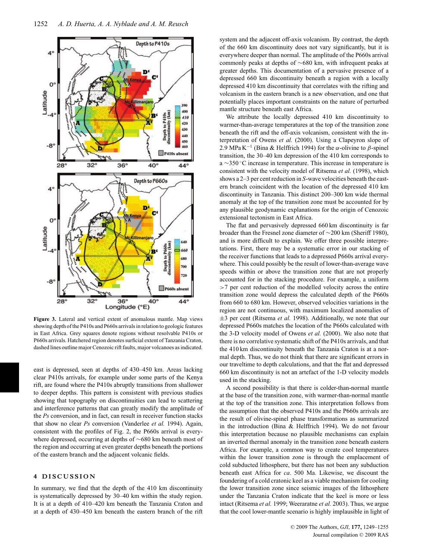

**Figure 3.** Lateral and vertical extent of anomalous mantle. Map views showing depth of the P410s and P660s arrivals in relation to geologic features in East Africa. Grey squares denote regions without resolvable P410s or P660s arrivals. Hatchered region denotes surficial extent of Tanzania Craton, dashed lines outline major Cenozoic rift faults, major volcanoes as indicated.

east is depressed, seen at depths of 430–450 km. Areas lacking clear P410s arrivals, for example under some parts of the Kenya rift, are found where the P410s abruptly transitions from shallower to deeper depths. This pattern is consistent with previous studies showing that topography on discontinuities can lead to scattering and interference patterns that can greatly modify the amplitude of the *Ps* conversion, and in fact, can result in receiver function stacks that show no clear *Ps* conversion (Vanderlee *et al.* 1994). Again, consistent with the profiles of Fig. 2, the P660s arrival is everywhere depressed, occurring at depths of ∼680 km beneath most of the region and occurring at even greater depths beneath the portions of the eastern branch and the adjacent volcanic fields.

#### **4 DISCUSSION**

In summary, we find that the depth of the 410 km discontinuity is systematically depressed by 30–40 km within the study region. It is at a depth of 410–420 km beneath the Tanzania Craton and at a depth of 430–450 km beneath the eastern branch of the rift system and the adjacent off-axis volcanism. By contrast, the depth of the 660 km discontinuity does not vary significantly, but it is everywhere deeper than normal. The amplitude of the P660s arrival commonly peaks at depths of ∼680 km, with infrequent peaks at greater depths. This documentation of a pervasive presence of a depressed 660 km discontinuity beneath a region with a locally depressed 410 km discontinuity that correlates with the rifting and volcanism in the eastern branch is a new observation, and one that potentially places important constraints on the nature of perturbed mantle structure beneath east Africa.

We attribute the locally depressed 410 km discontinuity to warmer-than-average temperatures at the top of the transition zone beneath the rift and the off-axis volcanism, consistent with the interpretation of Owens *et al.* (2000). Using a Clapeyron slope of 2.9 MPa K<sup>-1</sup> (Bina & Helffrich 1994) for the  $\alpha$ -olivine to  $\beta$ -spinel transition, the 30–40 km depression of the 410 km corresponds to a ∼350 ◦C increase in temperature. This increase in temperature is consistent with the velocity model of Ritsema *et al.* (1998), which shows a 2–3 per cent reduction in *S*-wave velocities beneath the eastern branch coincident with the location of the depressed 410 km discontinuity in Tanzania. This distinct 200–300 km wide thermal anomaly at the top of the transition zone must be accounted for by any plausible geodynamic explanations for the origin of Cenozoic extensional tectonism in East Africa.

The flat and pervasively depressed 660 km discontinuity is far broader than the Fresnel zone diameter of ∼200 km (Sheriff 1980), and is more difficult to explain. We offer three possible interpretations. First, there may be a systematic error in our stacking of the receiver functions that leads to a depressed P660s arrival everywhere. This could possibly be the result of lower-than-average wave speeds within or above the transition zone that are not properly accounted for in the stacking procedure. For example, a uniform >7 per cent reduction of the modelled velocity across the entire transition zone would depress the calculated depth of the P660s from 660 to 680 km. However, observed velocities variations in the region are not continuous, with maximum localized anomalies of ±3 per cent (Ritsema *et al.* 1998). Additionally, we note that our depressed P660s matches the location of the P660s calculated with the 3-D velocity model of Owens *et al.* (2000). We also note that there is no correlative systematic shift of the P410s arrivals, and that the 410 km discontinuity beneath the Tanzania Craton is at a normal depth. Thus, we do not think that there are significant errors in our traveltime to depth calculations, and that the flat and depressed 660 km discontinuity is not an artefact of the 1-D velocity models used in the stacking.

A second possibility is that there is colder-than-normal mantle at the base of the transition zone, with warmer-than-normal mantle at the top of the transition zone. This interpretation follows from the assumption that the observed P410s and the P660s arrivals are the result of olivine-spinel phase transformations as summarized in the introduction (Bina & Helffrich 1994). We do not favour this interpretation because no plausible mechanisms can explain an inverted thermal anomaly in the transition zone beneath eastern Africa. For example, a common way to create cool temperatures within the lower transition zone is through the emplacement of cold subducted lithosphere, but there has not been any subduction beneath east Africa for *ca*. 500 Ma. Likewise, we discount the foundering of a cold cratonic keel as a viable mechanism for cooling the lower transition zone since seismic images of the lithosphere under the Tanzania Craton indicate that the keel is more or less intact (Ritsema *et al.* 1999; Weeraratne *et al.* 2003). Thus, we argue that the cool lower-mantle scenario is highly implausible in light of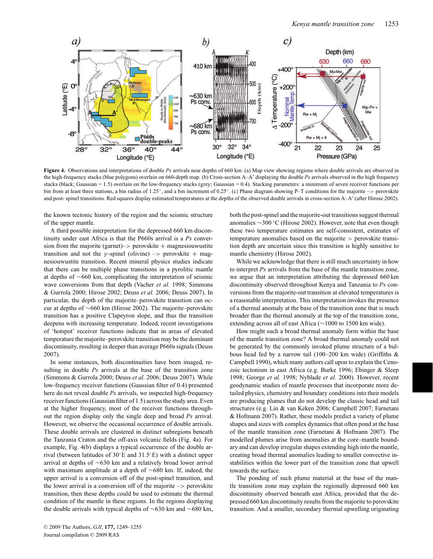

**Figure 4.** Observations and interpretations of double *Ps* arrivals near depths of 660 km. (a) Map view showing regions where double arrivals are observed in the high-frequency stacks (blue polygons) overlain on 660-depth map. (b) Cross-section A–A displaying the double *Ps* arrivals observed in the high frequency stacks (black; Gaussian = 1.5) overlain on the low-frequency stacks (grey; Gaussian = 0.4). Stacking parameters: a minimum of seven receiver functions per bin from at least three stations, a bin radius of 1.25◦, and a bin increment of 0.25◦. (c) Phase diagram showing P–T conditions for the majorite –> perovskite and post- spinel transitions. Red squares display estimated temperatures at the depths of the observed double arrivals in cross-section A–A' (after Hirose 2002).

the known tectonic history of the region and the seismic structure of the upper mantle.

A third possible interpretation for the depressed 660 km discontinuity under east Africa is that the P660s arrival is a *Ps* conversion from the majorite (garnet)– $>$  perovskite + magnesiou wustite transition and not the  $\gamma$ -spinel (olivine) –> perovskite + magnesiouwustite transition. Recent mineral physics studies indicate that there can be multiple phase transitions in a pyrolitic mantle at depths of ∼660 km, complicating the interpretation of seismic wave conversions from that depth (Vacher *et al.* 1998; Simmons & Gurrola 2000; Hirose 2002; Deuss *et al.* 2006; Deuss 2007). In particular, the depth of the majorite–perovskite transition can occur at depths of ∼660 km (Hirose 2002). The majorite–perovskite transition has a positive Clapeyron slope, and thus the transition deepens with increasing temperature. Indeed, recent investigations of 'hotspot' receiver functions indicate that in areas of elevated temperature the majorite–perovskite transition may be the dominant discontinuity, resulting in deeper than average P660s signals (Deuss 2007).

In some instances, both discontinuities have been imaged, resulting in double *Ps* arrivals at the base of the transition zone (Simmons & Gurrola 2000; Deuss *et al.* 2006; Deuss 2007). While low-frequency receiver functions (Gaussian filter of 0.4) presented here do not reveal double *Ps* arrivals, we inspected high-frequency receiver functions (Gaussian filter of 1.5) across the study area. Even at the higher frequency, most of the receiver functions throughout the region display only the single deep and broad *Ps* arrival. However, we observe the occasional occurrence of double arrivals. These double arrivals are clustered in distinct subregions beneath the Tanzania Craton and the off-axis volcanic fields (Fig. 4a). For example, Fig. 4(b) displays a typical occurrence of the double arrival (between latitudes of 30◦E and 31.5◦E) with a distinct upper arrival at depths of ∼630 km and a relatively broad lower arrival with maximum amplitude at a depth of ∼680 km. If, indeed, the upper arrival is a conversion off of the post-spinel transition, and the lower arrival is a conversion off of the majorite  $\rightarrow$  perovskite transition, then these depths could be used to estimate the thermal condition of the mantle in these regions. In the regions displaying the double arrivals with typical depths of ∼630 km and ∼680 km,

<sup>C</sup> 2009 The Authors, *GJI*, **177,** 1249–1255 Journal compilation  $©$  2009 RAS

both the post-spinel and the majorite-out transitions suggest thermal anomalies ∼300 ◦C (Hirose 2002). However, note that even though these two temperature estimates are self-consistent, estimates of temperature anomalies based on the majorite > perovskite transition depth are uncertain since this transition is highly sensitive to mantle chemistry (Hirose 2002).

While we acknowledge that there is still much uncertainty in how to interpret *Ps* arrivals from the base of the mantle transition zone, we argue that an interpretation attributing the depressed 660 km discontinuity observed throughout Kenya and Tanzania to *Ps* conversions from the majorite-out transition at elevated temperatures is a reasonable interpretation. This interpretation invokes the presence of a thermal anomaly at the base of the transition zone that is much broader than the thermal anomaly at the top of the transition zone, extending across all of east Africa (∼1000 to 1500 km wide).

How might such a broad thermal anomaly form within the base of the mantle transition zone? A broad thermal anomaly could not be generated by the commonly invoked plume structure of a bulbous head fed by a narrow tail (100–200 km wide) (Griffiths & Campbell 1990), which many authors call upon to explain the Cenozoic tectonism in east Africa (e.g. Burke 1996; Ebinger & Sleep 1998; George *et al.* 1998; Nyblade *et al.* 2000). However, recent geodynamic studies of mantle processes that incorporate more detailed physics, chemistry and boundary conditions into their models are producing plumes that do not develop the classic head and tail structures (e.g. Lin & van Keken 2006; Campbell 2007; Farnetani & Hofmann 2007). Rather, these models predict a variety of plume shapes and sizes with complex dynamics that often pond at the base of the mantle transition zone (Farnetani & Hofmann 2007). The modelled plumes arise from anomalies at the core–mantle boundary and can develop irregular shapes extending high into the mantle, creating broad thermal anomalies leading to smaller convective instabilities within the lower part of the transition zone that upwell towards the surface.

The ponding of such plume material at the base of the mantle transition zone may explain the regionally depressed 660 km discontinuity observed beneath east Africa, provided that the depressed 660 km discontinuity results from the majorite to perovskite transition. And a smaller, secondary thermal upwelling originating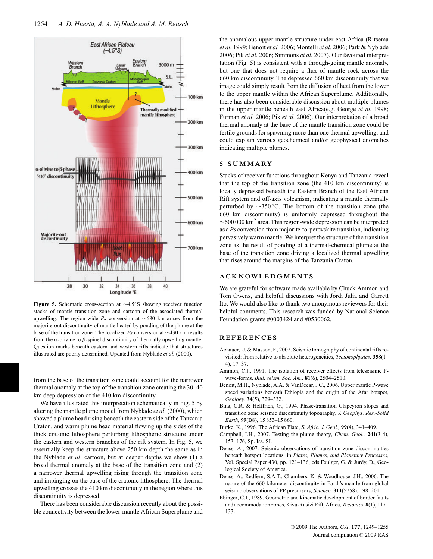

**Figure 5.** Schematic cross-section at ∼4.5◦S showing receiver function stacks of mantle transition zone and cartoon of the associated thermal upwelling. The region-wide *Ps* conversion at ∼680 km arises from the majorite-out discontinuity of mantle heated by ponding of the plume at the base of the transition zone. The localized *Ps* conversion at ∼430 km results from the  $\alpha$ -olivine to  $\beta$ -spinel discontinuity of thermally upwelling mantle. Question marks beneath eastern and western rifts indicate that structures illustrated are poorly determined. Updated from Nyblade *et al.* (2000).

from the base of the transition zone could account for the narrower thermal anomaly at the top of the transition zone creating the 30–40 km deep depression of the 410 km discontinuity.

We have illustrated this interpretation schematically in Fig. 5 by altering the mantle plume model from Nyblade *et al.* (2000), which showed a plume head rising beneath the eastern side of the Tanzania Craton, and warm plume head material flowing up the sides of the thick cratonic lithosphere perturbing lithospheric structure under the eastern and western branches of the rift system. In Fig. 5, we essentially keep the structure above 250 km depth the same as in the Nyblade *et al*. cartoon, but at deeper depths we show (1) a broad thermal anomaly at the base of the transition zone and (2) a narrower thermal upwelling rising through the transition zone and impinging on the base of the cratonic lithosphere. The thermal upwelling crosses the 410 km discontinuity in the region where this discontinuity is depressed.

There has been considerable discussion recently about the possible connectivity between the lower-mantle African Superplume and the anomalous upper-mantle structure under east Africa (Ritsema *et al.* 1999; Benoit *et al.* 2006; Montelli *et al.* 2006; Park & Nyblade 2006; Pik *et al.* 2006; Simmons *et al.* 2007). Our favoured interpretation (Fig. 5) is consistent with a through-going mantle anomaly, but one that does not require a flux of mantle rock across the 660 km discontinuity. The depressed 660 km discontinuity that we image could simply result from the diffusion of heat from the lower to the upper mantle within the African Superplume. Additionally, there has also been considerable discussion about multiple plumes in the upper mantle beneath east Africa(e.g. George *et al.* 1998; Furman *et al.* 2006; Pik *et al.* 2006). Our interpretation of a broad thermal anomaly at the base of the mantle transition zone could be fertile grounds for spawning more than one thermal upwelling, and could explain various geochemical and/or geophysical anomalies indicating multiple plumes.

#### **5 SUMMARY**

Stacks of receiver functions throughout Kenya and Tanzania reveal that the top of the transition zone (the 410 km discontinuity) is locally depressed beneath the Eastern Branch of the East African Rift system and off-axis volcanism, indicating a mantle thermally perturbed by ∼350 ◦C. The bottom of the transition zone (the 660 km discontinuity) is uniformly depressed throughout the ∼600 000 km2 area. This region-wide depression can be interpreted as a *Ps* conversion from majorite-to-perovskite transition, indicating pervasively warm mantle. We interpret the structure of the transition zone as the result of ponding of a thermal-chemical plume at the base of the transition zone driving a localized thermal upwelling that rises around the margins of the Tanzania Craton.

#### **ACKNOWLEDGMENTS**

We are grateful for software made available by Chuck Ammon and Tom Owens, and helpful discussions with Jordi Julia and Garrett Ito. We would also like to thank two anonymous reviewers for their helpful comments. This research was funded by National Science Foundation grants #0003424 and #0530062.

#### **REFERENCES**

- Achauer, U. & Masson, F., 2002. Seismic tomography of continental rifts revisited: from relative to absolute heterogeneities, *Tectonophysics,* **358**(1– 4), 17–37.
- Ammon, C.J., 1991. The isolation of receiver effects from teleseismic Pwave-forms, *Bull. seism. Soc. Am.,* **81**(6), 2504–2510.
- Benoit, M.H., Nyblade, A.A. & VanDecar, J.C., 2006. Upper mantle P-wave speed variations beneath Ethiopia and the origin of the Afar hotspot, *Geology,* **34**(5), 329–332.
- Bina, C.R. & Helffrich, G., 1994. Phase-transition Clapeyron slopes and transition zone seismic discontinuity topography, *J. Geophys. Res.-Solid Earth,* **99**(B8), 15 853–15 860.
- Burke, K., 1996. The African Plate, *S. Afric. J. Geol.,* **99**(4), 341–409.
- Campbell, I.H., 2007. Testing the plume theory, *Chem. Geol.,* **241**(3-4), 153–176, Sp. Iss. SI.
- Deuss, A., 2007. Seismic observations of transition zone discontinuities beneath hotspot locations, in *Plates, Plumes, and Planetary Processes,* Vol. Special Paper 430, pp. 121–136, eds Foulger, G. & Jurdy, D., Geological Society of America.
- Deuss, A., Redfern, S.A.T., Chambers, K. & Woodhouse, J.H., 2006. The nature of the 660-kilometer discontinuity in Earth's mantle from global seismic observations of PP precursors, *Science,* **311**(5758), 198–201.
- Ebinger, C.J., 1989. Geometric and kinematic development of border faults and accommodation zones, Kivu-Rusizi Rift, Africa, *Tectonics,* **8**(1), 117– 133.